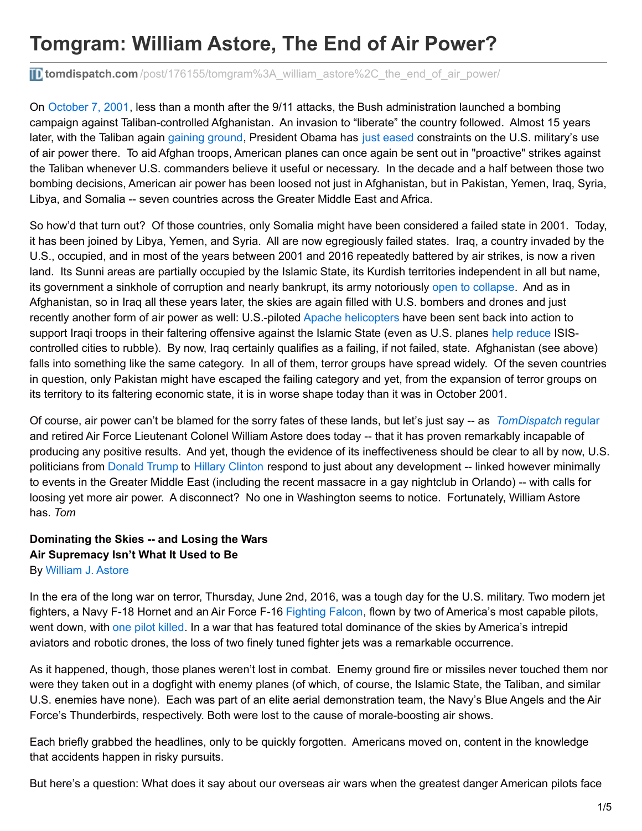## **Tomgram: William Astore, The End of Air Power?**

**tomdispatch.com** [/post/176155/tomgram%3A\\_william\\_astore%2C\\_the\\_end\\_of\\_air\\_power/](http://www.tomdispatch.com/post/176155/tomgram%253A_william_astore%252C_the_end_of_air_power/)

On [October](https://www.theguardian.com/world/2001/oct/07/afghanistan.terrorism) 7, 2001, less than a month after the 9/11 attacks, the Bush administration launched a bombing campaign against Taliban-controlled Afghanistan. An invasion to "liberate" the country followed. Almost 15 years later, with the Taliban again [gaining](http://www.militarytimes.com/story/military/pentagon/2016/06/16/afghanistan-nicholson-commander-pentagon-report-war/85972056/) ground, President Obama has just [eased](http://www.military.com/daily-news/2016/06/10/obama-approves-expanded-us-airstrikes-taliban-in-afghanistan.html) constraints on the U.S. military's use of air power there. To aid Afghan troops, American planes can once again be sent out in "proactive" strikes against the Taliban whenever U.S. commanders believe it useful or necessary. In the decade and a half between those two bombing decisions, American air power has been loosed not just in Afghanistan, but in Pakistan, Yemen, Iraq, Syria, Libya, and Somalia -- seven countries across the Greater Middle East and Africa.

So how'd that turn out? Of those countries, only Somalia might have been considered a failed state in 2001. Today, it has been joined by Libya, Yemen, and Syria. All are now egregiously failed states. Iraq, a country invaded by the U.S., occupied, and in most of the years between 2001 and 2016 repeatedly battered by air strikes, is now a riven land. Its Sunni areas are partially occupied by the Islamic State, its Kurdish territories independent in all but name, its government a sinkhole of corruption and nearly bankrupt, its army notoriously open to [collapse](http://www.tomdispatch.com/post/176093/tomgram%3A_nick_turse,_how_to_succeed_at_failing,_pentagon-style/). And as in Afghanistan, so in Iraq all these years later, the skies are again filled with U.S. bombers and drones and just recently another form of air power as well: U.S.-piloted Apache [helicopters](http://thehill.com/policy/defense/283289-pentagon-uses-apache-helicopters-in-iraq-for-first-time) have been sent back into action to support Iraqi troops in their faltering offensive against the Islamic State (even as U.S. planes help [reduce](http://bigstory.ap.org/article/627a3057be2544d68aa75897e299a162/iraq-routed-ramadi-high-cost-city-destroyed) ISIScontrolled cities to rubble). By now, Iraq certainly qualifies as a failing, if not failed, state. Afghanistan (see above) falls into something like the same category. In all of them, terror groups have spread widely. Of the seven countries in question, only Pakistan might have escaped the failing category and yet, from the expansion of terror groups on its territory to its faltering economic state, it is in worse shape today than it was in October 2001.

Of course, air power can't be blamed for the sorry fates of these lands, but let's just say -- as *[TomDispatch](http://www.tomdispatch.com/blog/176128/tomgram%3A_william_astore,_words_about_war_matter/)* regular and retired Air Force Lieutenant Colonel William Astore does today -- that it has proven remarkably incapable of producing any positive results. And yet, though the evidence of its ineffectiveness should be clear to all by now, U.S. politicians from [Donald](http://townhall.com/tipsheet/leahbarkoukis/2016/06/13/trump-on-fox-and-friends-n2177200) Trump to Hillary [Clinton](http://www.tomdispatch.com/post/176155/tomgram%3A_william_astore%2C_the_end_of_air_power/%25E2%2580%259CWe%2520should%2520keep%2520the%2520pressure%2520on%2520ramping%2520up%2520the%2520air%2520campaign.%25E2%2580%259D) respond to just about any development -- linked however minimally to events in the Greater Middle East (including the recent massacre in a gay nightclub in Orlando) -- with calls for loosing yet more air power. A disconnect? No one in Washington seems to notice. Fortunately, William Astore has. *Tom*

**Dominating the Skies -- and Losing the Wars Air Supremacy Isn't What It Used to Be** By [William](http://www.tomdispatch.com/authors/williamastore) J. Astore

In the era of the long war on terror, Thursday, June 2nd, 2016, was a tough day for the U.S. military. Two modern jet fighters, a Navy F-18 Hornet and an Air Force F-16 [Fighting](http://www.denverpost.com/2016/06/02/thunderbird-crash-colorado-springs/) Falcon, flown by two of America's most capable pilots, went down, with one pilot [killed](http://www.cbs19.tv/story/32142651/blue-angels-pilot-killed-was-marine-father-of-two). In a war that has featured total dominance of the skies by America's intrepid aviators and robotic drones, the loss of two finely tuned fighter jets was a remarkable occurrence.

As it happened, though, those planes weren't lost in combat. Enemy ground fire or missiles never touched them nor were they taken out in a dogfight with enemy planes (of which, of course, the Islamic State, the Taliban, and similar U.S. enemies have none). Each was part of an elite aerial demonstration team, the Navy's Blue Angels and the Air Force's Thunderbirds, respectively. Both were lost to the cause of morale-boosting air shows.

Each briefly grabbed the headlines, only to be quickly forgotten. Americans moved on, content in the knowledge that accidents happen in risky pursuits.

But here's a question: What does it say about our overseas air wars when the greatest danger American pilots face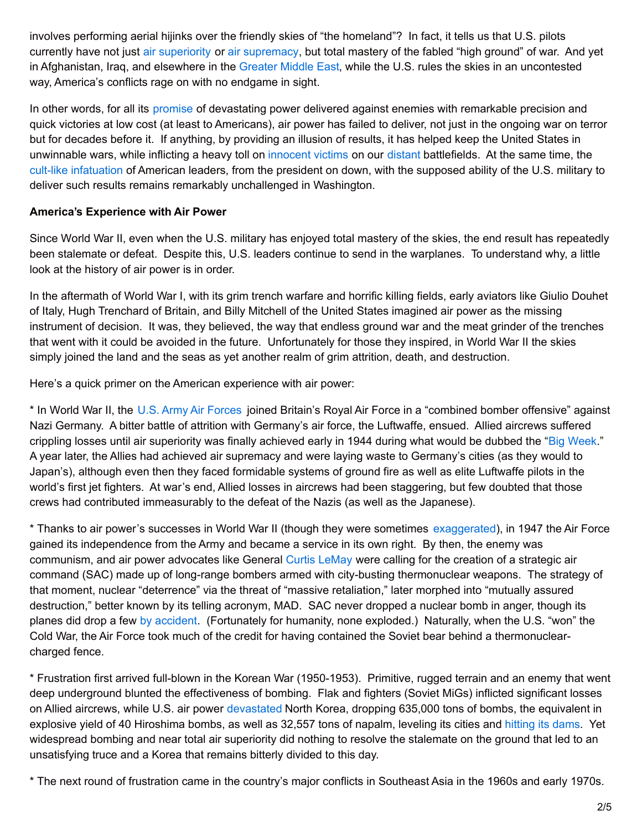involves performing aerial hijinks over the friendly skies of "the homeland"? In fact, it tells us that U.S. pilots currently have not just air [superiority](https://www.wordnik.com/words/air superiority) or air [supremacy](https://www.wordnik.com/words/air supremacy), but total mastery of the fabled "high ground" of war. And yet in Afghanistan, Iraq, and elsewhere in the [Greater](http://www.tomdispatch.com/post/176147/) Middle East, while the U.S. rules the skies in an uncontested way, America's conflicts rage on with no endgame in sight.

In other words, for all its [promise](http://www.tomdispatch.com/post/175665) of devastating power delivered against enemies with remarkable precision and quick victories at low cost (at least to Americans), air power has failed to deliver, not just in the ongoing war on terror but for decades before it. If anything, by providing an illusion of results, it has helped keep the United States in unwinnable wars, while inflicting a heavy toll on [innocent](http://www.alternet.org/books/disturbing-truth-behind-us-drone-assassinations-government-tried-keep-secret) victims on our [distant](https://www.washingtonpost.com/politics/a-desperate-womans-email-from-iraq-reveals-the-high-toll-of-obamas-low-cost-wars/2016/06/09/3e572976-2725-11e6-b989-4e5479715b54_story.html?hpid=hp_no-name_useofforce-315pm-_1%3Ahomepage%2Fstory) battlefields. At the same time, the cult-like [infatuation](http://www.tomdispatch.com/post/175883) of American leaders, from the president on down, with the supposed ability of the U.S. military to deliver such results remains remarkably unchallenged in Washington.

#### **America's Experience with Air Power**

Since World War II, even when the U.S. military has enjoyed total mastery of the skies, the end result has repeatedly been stalemate or defeat. Despite this, U.S. leaders continue to send in the warplanes. To understand why, a little look at the history of air power is in order.

In the aftermath of World War I, with its grim trench warfare and horrific killing fields, early aviators like Giulio Douhet of Italy, Hugh Trenchard of Britain, and Billy Mitchell of the United States imagined air power as the missing instrument of decision. It was, they believed, the way that endless ground war and the meat grinder of the trenches that went with it could be avoided in the future. Unfortunately for those they inspired, in World War II the skies simply joined the land and the seas as yet another realm of grim attrition, death, and destruction.

Here's a quick primer on the American experience with air power:

\* In World War II, the U.S. Army Air [Forces](https://en.wikipedia.org/wiki/United_States_Army_Air_Forces) joined Britain's Royal Air Force in a "combined bomber offensive" against Nazi Germany. A bitter battle of attrition with Germany's air force, the Luftwaffe, ensued. Allied aircrews suffered crippling losses until air superiority was finally achieved early in 1944 during what would be dubbed the "Big [Week](http://www.secondworldwarhistory.com/big-week.asp)." A year later, the Allies had achieved air supremacy and were laying waste to Germany's cities (as they would to Japan's), although even then they faced formidable systems of ground fire as well as elite Luftwaffe pilots in the world's first jet fighters. At war's end, Allied losses in aircrews had been staggering, but few doubted that those crews had contributed immeasurably to the defeat of the Nazis (as well as the Japanese).

\* Thanks to air power's successes in World War II (though they were sometimes [exaggerated](https://en.wikipedia.org/wiki/United_States_Strategic_Bombing_Survey)), in 1947 the Air Force gained its independence from the Army and became a service in its own right. By then, the enemy was communism, and air power advocates like General Curtis [LeMay](https://en.wikipedia.org/wiki/Curtis_LeMay) were calling for the creation of a strategic air command (SAC) made up of long-range bombers armed with city-busting thermonuclear weapons. The strategy of that moment, nuclear "deterrence" via the threat of "massive retaliation," later morphed into "mutually assured destruction," better known by its telling acronym, MAD. SAC never dropped a nuclear bomb in anger, though its planes did drop a few by [accident](https://en.wikipedia.org/wiki/List_of_military_nuclear_accidents). (Fortunately for humanity, none exploded.) Naturally, when the U.S. "won" the Cold War, the Air Force took much of the credit for having contained the Soviet bear behind a thermonuclearcharged fence.

\* Frustration first arrived full-blown in the Korean War (1950-1953). Primitive, rugged terrain and an enemy that went deep underground blunted the effectiveness of bombing. Flak and fighters (Soviet MiGs) inflicted significant losses on Allied aircrews, while U.S. air power [devastated](http://apjjf.org/-Charles-K.-Armstrong/3460/article.html) North Korea, dropping 635,000 tons of bombs, the equivalent in explosive yield of 40 Hiroshima bombs, as well as 32,557 tons of napalm, leveling its cities and [hitting](https://en.wikipedia.org/wiki/Attack_on_the_Sui-ho_Dam) its dams. Yet widespread bombing and near total air superiority did nothing to resolve the stalemate on the ground that led to an unsatisfying truce and a Korea that remains bitterly divided to this day.

\* The next round of frustration came in the country's major conflicts in Southeast Asia in the 1960s and early 1970s.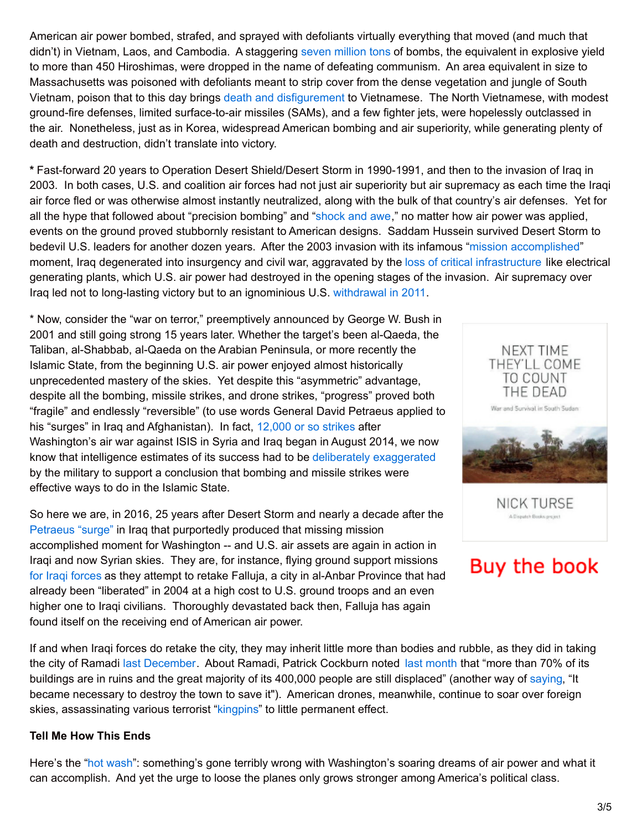American air power bombed, strafed, and sprayed with defoliants virtually everything that moved (and much that didn't) in Vietnam, Laos, and Cambodia. A staggering seven [million](http://libcom.org/history/articles/vietnam-war) tons of bombs, the equivalent in explosive yield to more than 450 Hiroshimas, were dropped in the name of defeating communism. An area equivalent in size to Massachusetts was poisoned with defoliants meant to strip cover from the dense vegetation and jungle of South Vietnam, poison that to this day brings death and [disfigurement](http://www.featureshoot.com/2013/08/heartbreaking-portraits-of-third-generation-agent-orange-victims/) to Vietnamese. The North Vietnamese, with modest ground-fire defenses, limited surface-to-air missiles (SAMs), and a few fighter jets, were hopelessly outclassed in the air. Nonetheless, just as in Korea, widespread American bombing and air superiority, while generating plenty of death and destruction, didn't translate into victory.

**\*** Fast-forward 20 years to Operation Desert Shield/Desert Storm in 1990-1991, and then to the invasion of Iraq in 2003. In both cases, U.S. and coalition air forces had not just air superiority but air supremacy as each time the Iraqi air force fled or was otherwise almost instantly neutralized, along with the bulk of that country's air defenses. Yet for all the hype that followed about "precision bombing" and ["shock](http://www.cnn.com/2003/fyi/news/03/22/iraq.war/) and awe," no matter how air power was applied, events on the ground proved stubbornly resistant to American designs. Saddam Hussein survived Desert Storm to bedevil U.S. leaders for another dozen years. After the 2003 invasion with its infamous "mission [accomplished](http://www.tomdispatch.com/post/175658)" moment, Iraq degenerated into insurgency and civil war, aggravated by the loss of critical [infrastructure](http://www.globalresearch.ca/crimes-against-humanity-the-destruction-of-iraqs-electricity-infrastructure-the-social-economic-and-environmental-impacts/5355665) like electrical generating plants, which U.S. air power had destroyed in the opening stages of the invasion. Air supremacy over Iraq led not to long-lasting victory but to an ignominious U.S. [withdrawal](http://www.democracynow.org/2011/12/16/us_withdrawal_from_iraq_in_terms) in 2011.

\* Now, consider the "war on terror," preemptively announced by George W. Bush in 2001 and still going strong 15 years later. Whether the target's been al-Qaeda, the Taliban, al-Shabbab, al-Qaeda on the Arabian Peninsula, or more recently the Islamic State, from the beginning U.S. air power enjoyed almost historically unprecedented mastery of the skies. Yet despite this "asymmetric" advantage, despite all the bombing, missile strikes, and drone strikes, "progress" proved both "fragile" and endlessly "reversible" (to use words General David Petraeus applied to his "surges" in Iraq and Afghanistan). In fact, [12,000](http://www.counterpunch.org/2016/05/30/airstrikes-on-isis-are-reducing-their-cities-to-ruins/) or so strikes after Washington's air war against ISIS in Syria and Iraq began in August 2014, we now know that intelligence estimates of its success had to be deliberately [exaggerated](http://www.thedailybeast.com/articles/2015/09/09/exclusive-50-spies-say-isis-intelligence-was-cooked.html) by the military to support a conclusion that bombing and missile strikes were effective ways to do in the Islamic State.

So here we are, in 2016, 25 years after Desert Storm and nearly a decade after the [Petraeus](http://foreignpolicy.com/2013/10/29/how-we-won-in-iraq/) "surge" in Iraq that purportedly produced that missing mission accomplished moment for Washington -- and U.S. air assets are again in action in Iraqi and now Syrian skies. They are, for instance, flying ground support missions for Iraqi [forces](http://www.ndtv.com/world-news/iraqi-army-storms-to-edge-of-isis-held-falluja-under-us-air-support-1413654) as they attempt to retake Falluja, a city in al-Anbar Province that had already been "liberated" in 2004 at a high cost to U.S. ground troops and an even higher one to Iraqi civilians. Thoroughly devastated back then, Falluja has again found itself on the receiving end of American air power.

If and when Iraqi forces do retake the city, they may inherit little more than bodies and rubble, as they did in taking the city of Ramadi last [December](https://www.theguardian.com/world/gallery/2015/dec/29/iraqi-forces-retake-ramadi-isis-in-pictures). About Ramadi, Patrick Cockburn noted last [month](http://www.counterpunch.org/2016/05/30/airstrikes-on-isis-are-reducing-their-cities-to-ruins/) that "more than 70% of its buildings are in ruins and the great majority of its 400,000 people are still displaced" (another way of [saying](http://aphelis.net/destroy-village-order-save-unknown-1968/), "It became necessary to destroy the town to save it"). American drones, meanwhile, continue to soar over foreign skies, assassinating various terrorist ["kingpins](http://www.tomdispatch.com/post/175988/tomgram%3A_andrew_cockburn%2C_how_assassination_sold_drugs_and_promoted_terrorism/)" to little permanent effect.

#### **Tell Me How This Ends**

Here's the "hot [wash](https://en.wikipedia.org/wiki/Hotwash)": something's gone terribly wrong with Washington's soaring dreams of air power and what it can accomplish. And yet the urge to loose the planes only grows stronger among America's political class.



# Buy the book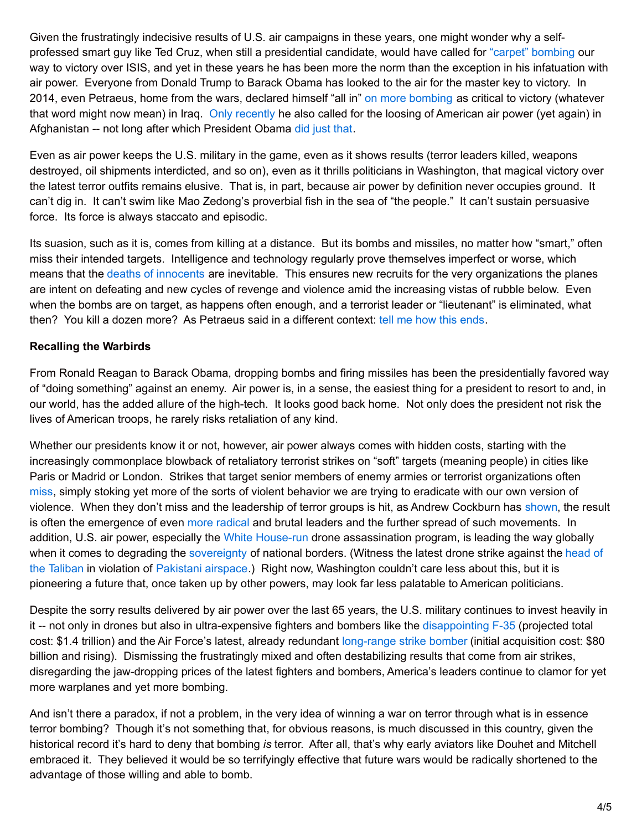Given the frustratingly indecisive results of U.S. air campaigns in these years, one might wonder why a selfprofessed smart guy like Ted Cruz, when still a presidential candidate, would have called for "carpet" [bombing](https://www.washingtonpost.com/news/post-politics/wp/2015/12/05/ted-cruz-vows-to-utterly-destroy-isis-and-carpet-bomb-terrorists/) our way to victory over ISIS, and yet in these years he has been more the norm than the exception in his infatuation with air power. Everyone from Donald Trump to Barack Obama has looked to the air for the master key to victory. In 2014, even Petraeus, home from the wars, declared himself "all in" on more [bombing](http://www.telegraph.co.uk/news/worldnews/middleeast/iraq/10913259/US-should-launch-targeted-military-strikes-on-terrorist-army-Isis-says-General-David-Petraeus.html) as critical to victory (whatever that word might now mean) in Iraq. Only [recently](https://www.washingtonpost.com/opinions/its-time-to-unleash-americas-air-power-in-afghanistan/2016/01/14/a9c3bd42-b979-11e5-99f3-184bc379b12d_story.html) he also called for the loosing of American air power (yet again) in Afghanistan -- not long after which President Obama did just [that](http://www.nytimes.com/2016/06/11/world/asia/obama-us-forces-taliban.html).

Even as air power keeps the U.S. military in the game, even as it shows results (terror leaders killed, weapons destroyed, oil shipments interdicted, and so on), even as it thrills politicians in Washington, that magical victory over the latest terror outfits remains elusive. That is, in part, because air power by definition never occupies ground. It can't dig in. It can't swim like Mao Zedong's proverbial fish in the sea of "the people." It can't sustain persuasive force. Its force is always staccato and episodic.

Its suasion, such as it is, comes from killing at a distance. But its bombs and missiles, no matter how "smart," often miss their intended targets. Intelligence and technology regularly prove themselves imperfect or worse, which means that the deaths of [innocents](http://www.salon.com/2016/05/05/jeremy_scahill_glenn_greenwald_blast_u_s_drone_war_and_assassination_complex_say_liberals_would_never_let_a_republican_get_away_with_obamas_crimes/) are inevitable. This ensures new recruits for the very organizations the planes are intent on defeating and new cycles of revenge and violence amid the increasing vistas of rubble below. Even when the bombs are on target, as happens often enough, and a terrorist leader or "lieutenant" is eliminated, what then? You kill a dozen more? As Petraeus said in a different context: tell me how this [ends](http://www.huffingtonpost.com/greg-mitchell/tell-me-how-this-ends-pet_b_95673.html).

### **Recalling the Warbirds**

From Ronald Reagan to Barack Obama, dropping bombs and firing missiles has been the presidentially favored way of "doing something" against an enemy. Air power is, in a sense, the easiest thing for a president to resort to and, in our world, has the added allure of the high-tech. It looks good back home. Not only does the president not risk the lives of American troops, he rarely risks retaliation of any kind.

Whether our presidents know it or not, however, air power always comes with hidden costs, starting with the increasingly commonplace blowback of retaliatory terrorist strikes on "soft" targets (meaning people) in cities like Paris or Madrid or London. Strikes that target senior members of enemy armies or terrorist organizations often [miss](https://www.hrw.org/reports/2003/usa1203/4.htm), simply stoking yet more of the sorts of violent behavior we are trying to eradicate with our own version of violence. When they don't miss and the leadership of terror groups is hit, as Andrew Cockburn has [shown](http://www.tomdispatch.com/post/175988/tomgram%3A_andrew_cockburn%2C_how_assassination_sold_drugs_and_promoted_terrorism/), the result is often the emergence of even more [radical](http://www.npr.org/sections/parallels/2016/06/06/480957196/taliban-get-a-new-leader-whos-just-as-violent-as-the-old-one) and brutal leaders and the further spread of such movements. In addition, U.S. air power, especially the White [House-run](http://www.tomdispatch.com/post/175551/tomgram%3A_engelhardt,_assassin-in-chief/) drone assassination program, is leading the way globally when it comes to degrading the [sovereignty](http://www.tomdispatch.com/post/175498/tomgram%3A_engelhardt%2C_kicking_down_the_world%27s_door/) of national borders. (Witness the latest drone strike against the head of the Taliban in violation of [Pakistani](http://www.dawn.com/news/1260563) airspace.) Right now, [Washington](https://www.whitehouse.gov/the-press-office/2016/05/23/statement-president-death-taliban-leader-mansur) couldn't care less about this, but it is pioneering a future that, once taken up by other powers, may look far less palatable to American politicians.

Despite the sorry results delivered by air power over the last 65 years, the U.S. military continues to invest heavily in it -- not only in drones but also in ultra-expensive fighters and bombers like the [disappointing](https://bracingviews.com/2014/02/18/the-f-35-fighter-program-america-going-down-in-flames/) F-35 (projected total cost: \$1.4 trillion) and the Air Force's latest, already redundant [long-range](https://en.wikipedia.org/wiki/Long_Range_Strike_Bomber_program) strike bomber (initial acquisition cost: \$80 billion and rising). Dismissing the frustratingly mixed and often destabilizing results that come from air strikes, disregarding the jaw-dropping prices of the latest fighters and bombers, America's leaders continue to clamor for yet more warplanes and yet more bombing.

And isn't there a paradox, if not a problem, in the very idea of winning a war on terror through what is in essence terror bombing? Though it's not something that, for obvious reasons, is much discussed in this country, given the historical record it's hard to deny that bombing *is* terror. After all, that's why early aviators like Douhet and Mitchell embraced it. They believed it would be so terrifyingly effective that future wars would be radically shortened to the advantage of those willing and able to bomb.